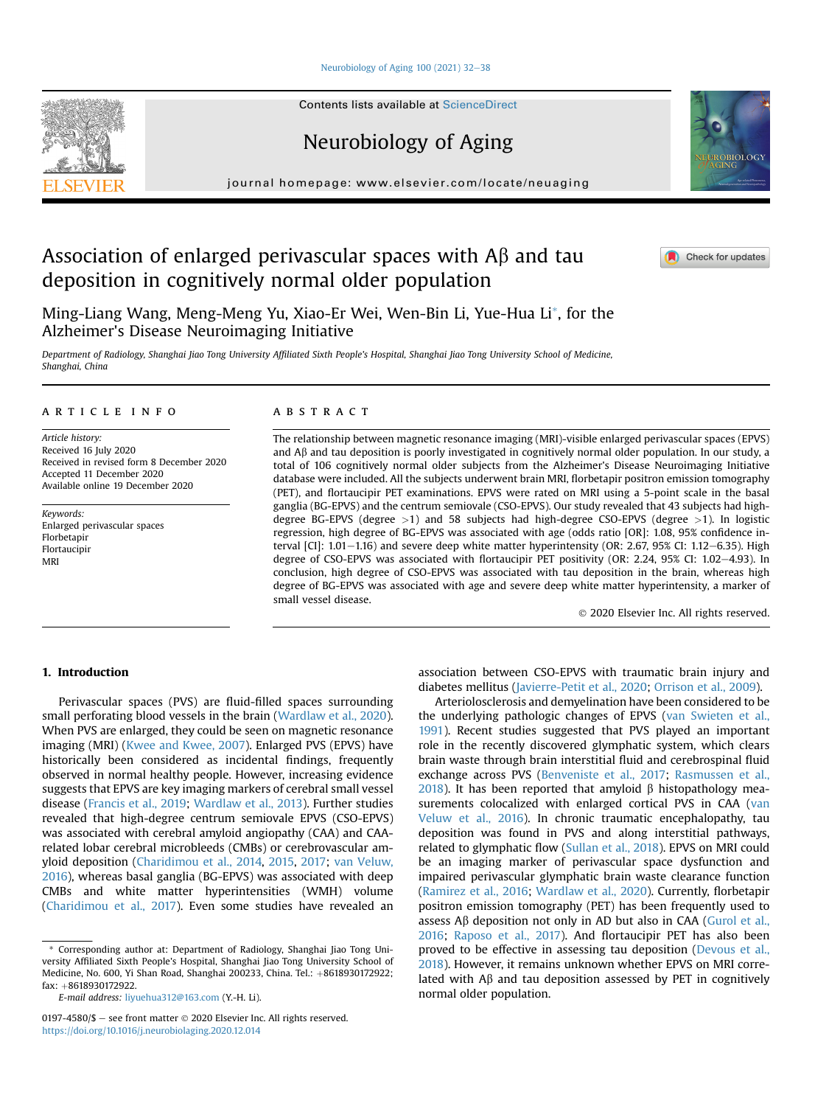# [Neurobiology of Aging 100 \(2021\) 32](https://doi.org/10.1016/j.neurobiolaging.2020.12.014)-[38](https://doi.org/10.1016/j.neurobiolaging.2020.12.014)

**Contents lists available at ScienceDirect** 

Neurobiology of Aging

journal homepage: [www.elsevier.com/locate/neuaging](http://www.elsevier.com/locate/neuaging)

# Association of enlarged perivascular spaces with  $\overline{AB}$  and tau deposition in cognitively normal older population

Ming-Liang Wang, Meng-Meng Yu, Xiao-Er Wei, Wen-Bin Li, Yue-Hua Li[\\*](#page-0-0), for the Alzheimer's Disease Neuroimaging Initiative

Department of Radiology, Shanghai Jiao Tong University Affiliated Sixth People's Hospital, Shanghai Jiao Tong University School of Medicine, Shanghai, China

# article info

Article history: Received 16 July 2020 Received in revised form 8 December 2020 Accepted 11 December 2020 Available online 19 December 2020

Keywords: Enlarged perivascular spaces Florbetapir Flortaucipir MRI

# ABSTRACT

The relationship between magnetic resonance imaging (MRI)-visible enlarged perivascular spaces (EPVS) and  $A\beta$  and tau deposition is poorly investigated in cognitively normal older population. In our study, a total of 106 cognitively normal older subjects from the Alzheimer's Disease Neuroimaging Initiative database were included. All the subjects underwent brain MRI, florbetapir positron emission tomography (PET), and flortaucipir PET examinations. EPVS were rated on MRI using a 5-point scale in the basal ganglia (BG-EPVS) and the centrum semiovale (CSO-EPVS). Our study revealed that 43 subjects had highdegree BG-EPVS (degree >1) and 58 subjects had high-degree CSO-EPVS (degree >1). In logistic regression, high degree of BG-EPVS was associated with age (odds ratio [OR]: 1.08, 95% confidence interval  $\left[$ CI $\right]$ : 1.01–1.16) and severe deep white matter hyperintensity (OR: 2.67, 95% CI: 1.12–6.35). High degree of CSO-EPVS was associated with flortaucipir PET positivity (OR: 2.24, 95% CI: 1.02-4.93). In conclusion, high degree of CSO-EPVS was associated with tau deposition in the brain, whereas high degree of BG-EPVS was associated with age and severe deep white matter hyperintensity, a marker of small vessel disease.

2020 Elsevier Inc. All rights reserved.

# 1. Introduction

Perivascular spaces (PVS) are fluid-filled spaces surrounding small perforating blood vessels in the brain [\(Wardlaw et al., 2020\)](#page-6-0). When PVS are enlarged, they could be seen on magnetic resonance imaging (MRI) [\(Kwee and Kwee, 2007\)](#page-5-0). Enlarged PVS (EPVS) have historically been considered as incidental findings, frequently observed in normal healthy people. However, increasing evidence suggests that EPVS are key imaging markers of cerebral small vessel disease [\(Francis et al., 2019](#page-5-1); [Wardlaw et al., 2013\)](#page-6-1). Further studies revealed that high-degree centrum semiovale EPVS (CSO-EPVS) was associated with cerebral amyloid angiopathy (CAA) and CAArelated lobar cerebral microbleeds (CMBs) or cerebrovascular amyloid deposition ([Charidimou et al., 2014,](#page-5-2) [2015,](#page-5-3) [2017;](#page-5-4) [van Veluw,](#page-6-2) [2016](#page-6-2)), whereas basal ganglia (BG-EPVS) was associated with deep CMBs and white matter hyperintensities (WMH) volume [\(Charidimou et al., 2017](#page-5-4)). Even some studies have revealed an

<span id="page-0-0"></span>\* Corresponding author at: Department of Radiology, Shanghai Jiao Tong University Affiliated Sixth People's Hospital, Shanghai Jiao Tong University School of Medicine, No. 600, Yi Shan Road, Shanghai 200233, China. Tel.: +8618930172922; fax: +8618930172922.

E-mail address: [liyuehua312@163.com](mailto:liyuehua312@163.com) (Y.-H. Li).

0197-4580/\$ - see front matter  $\odot$  2020 Elsevier Inc. All rights reserved. <https://doi.org/10.1016/j.neurobiolaging.2020.12.014>

association between CSO-EPVS with traumatic brain injury and diabetes mellitus ([Javierre-Petit et al., 2020;](#page-5-5) [Orrison et al., 2009\)](#page-5-6).

Arteriolosclerosis and demyelination have been considered to be the underlying pathologic changes of EPVS [\(van Swieten et al.,](#page-6-3) [1991\)](#page-6-3). Recent studies suggested that PVS played an important role in the recently discovered glymphatic system, which clears brain waste through brain interstitial fluid and cerebrospinal fluid exchange across PVS ([Benveniste et al., 2017;](#page-5-7) [Rasmussen et al.,](#page-6-4) [2018\)](#page-6-4). It has been reported that amyloid  $\beta$  histopathology measurements colocalized with enlarged cortical PVS in CAA ([van](#page-6-2) [Veluw et al., 2016](#page-6-2)). In chronic traumatic encephalopathy, tau deposition was found in PVS and along interstitial pathways, related to glymphatic flow ([Sullan et al., 2018](#page-6-5)). EPVS on MRI could be an imaging marker of perivascular space dysfunction and impaired perivascular glymphatic brain waste clearance function ([Ramirez et al., 2016](#page-6-6); [Wardlaw et al., 2020\)](#page-6-0). Currently, florbetapir positron emission tomography (PET) has been frequently used to assess  $A\beta$  deposition not only in AD but also in CAA ([Gurol et al.,](#page-5-8) [2016;](#page-5-8) [Raposo et al., 2017\)](#page-6-7). And flortaucipir PET has also been proved to be effective in assessing tau deposition [\(Devous et al.,](#page-5-9) [2018\)](#page-5-9). However, it remains unknown whether EPVS on MRI correlated with  $\Lambda\beta$  and tau deposition assessed by PET in cognitively normal older population.





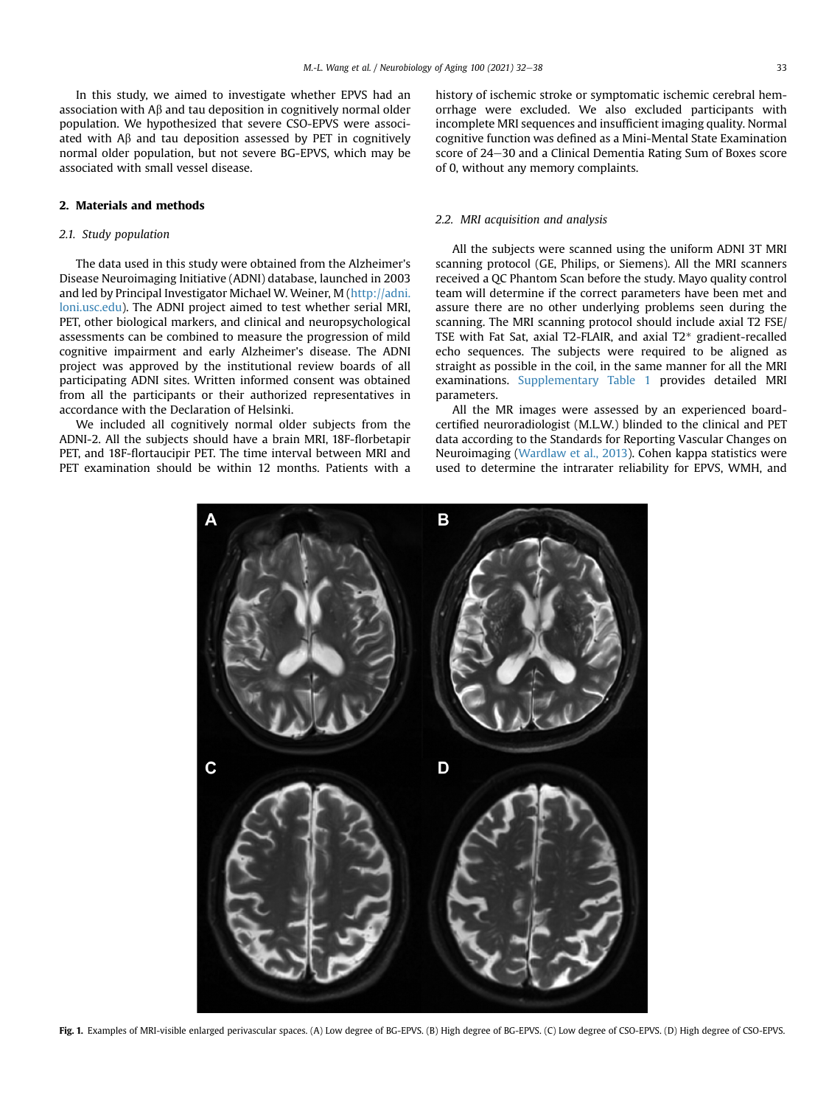In this study, we aimed to investigate whether EPVS had an association with  $\mathsf{A}\beta$  and tau deposition in cognitively normal older population. We hypothesized that severe CSO-EPVS were associated with  $\mathsf{A}\beta$  and tau deposition assessed by PET in cognitively normal older population, but not severe BG-EPVS, which may be associated with small vessel disease.

# 2. Materials and methods

# 2.1. Study population

The data used in this study were obtained from the Alzheimer's Disease Neuroimaging Initiative (ADNI) database, launched in 2003 and led by Principal Investigator Michael W. Weiner, M [\(http://adni.](http://adni.loni.usc.edu) [loni.usc.edu](http://adni.loni.usc.edu)). The ADNI project aimed to test whether serial MRI, PET, other biological markers, and clinical and neuropsychological assessments can be combined to measure the progression of mild cognitive impairment and early Alzheimer's disease. The ADNI project was approved by the institutional review boards of all participating ADNI sites. Written informed consent was obtained from all the participants or their authorized representatives in accordance with the Declaration of Helsinki.

<span id="page-1-0"></span>We included all cognitively normal older subjects from the ADNI-2. All the subjects should have a brain MRI, 18F-florbetapir PET, and 18F-flortaucipir PET. The time interval between MRI and PET examination should be within 12 months. Patients with a

history of ischemic stroke or symptomatic ischemic cerebral hemorrhage were excluded. We also excluded participants with incomplete MRI sequences and insufficient imaging quality. Normal cognitive function was defined as a Mini-Mental State Examination score of 24-30 and a Clinical Dementia Rating Sum of Boxes score of 0, without any memory complaints.

# 2.2. MRI acquisition and analysis

All the subjects were scanned using the uniform ADNI 3T MRI scanning protocol (GE, Philips, or Siemens). All the MRI scanners received a QC Phantom Scan before the study. Mayo quality control team will determine if the correct parameters have been met and assure there are no other underlying problems seen during the scanning. The MRI scanning protocol should include axial T2 FSE/ TSE with Fat Sat, axial T2-FLAIR, and axial T2\* gradient-recalled echo sequences. The subjects were required to be aligned as straight as possible in the coil, in the same manner for all the MRI examinations. Supplementary Table 1 provides detailed MRI parameters.

All the MR images were assessed by an experienced boardcertified neuroradiologist (M.L.W.) blinded to the clinical and PET data according to the Standards for Reporting Vascular Changes on Neuroimaging ([Wardlaw et al., 2013\)](#page-6-1). Cohen kappa statistics were used to determine the intrarater reliability for EPVS, WMH, and



Fig. 1. Examples of MRI-visible enlarged perivascular spaces. (A) Low degree of BG-EPVS. (B) High degree of BG-EPVS. (C) Low degree of CSO-EPVS. (D) High degree of CSO-EPVS.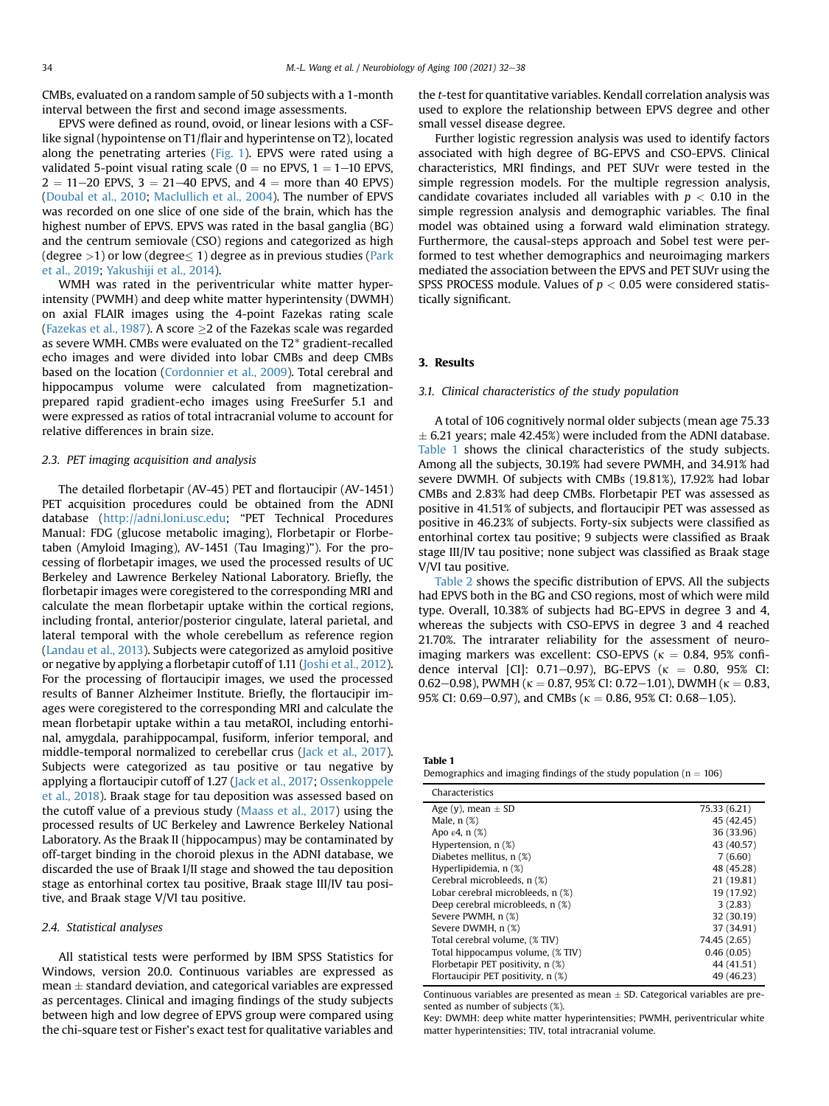CMBs, evaluated on a random sample of 50 subjects with a 1-month interval between the first and second image assessments.

EPVS were defined as round, ovoid, or linear lesions with a CSFlike signal (hypointense on T1/flair and hyperintense on T2), located along the penetrating arteries [\(Fig. 1](#page-1-0)). EPVS were rated using a validated 5-point visual rating scale ( $0 =$  no EPVS,  $1 = 1-10$  EPVS,  $2 = 11 - 20$  EPVS,  $3 = 21 - 40$  EPVS, and  $4 =$  more than 40 EPVS) [\(Doubal et al., 2010;](#page-5-10) [Maclullich et al., 2004](#page-5-11)). The number of EPVS was recorded on one slice of one side of the brain, which has the highest number of EPVS. EPVS was rated in the basal ganglia (BG) and the centrum semiovale (CSO) regions and categorized as high (degree  $>$ 1) or low (degree $\leq$  1) degree as in previous studies [\(Park](#page-6-8) [et al., 2019](#page-6-8); [Yakushiji et al., 2014\)](#page-6-9).

WMH was rated in the periventricular white matter hyperintensity (PWMH) and deep white matter hyperintensity (DWMH) on axial FLAIR images using the 4-point Fazekas rating scale [\(Fazekas et al., 1987\)](#page-5-12). A score  $\geq$  2 of the Fazekas scale was regarded as severe WMH. CMBs were evaluated on the T2\* gradient-recalled echo images and were divided into lobar CMBs and deep CMBs based on the location [\(Cordonnier et al., 2009\)](#page-5-13). Total cerebral and hippocampus volume were calculated from magnetizationprepared rapid gradient-echo images using FreeSurfer 5.1 and were expressed as ratios of total intracranial volume to account for relative differences in brain size.

# 2.3. PET imaging acquisition and analysis

The detailed florbetapir (AV-45) PET and flortaucipir (AV-1451) PET acquisition procedures could be obtained from the ADNI database ([http://adni.loni.usc.edu;](http://adni.loni.usc.edu) "PET Technical Procedures Manual: FDG (glucose metabolic imaging), Florbetapir or Florbetaben (Amyloid Imaging), AV-1451 (Tau Imaging)"). For the processing of florbetapir images, we used the processed results of UC Berkeley and Lawrence Berkeley National Laboratory. Briefly, the florbetapir images were coregistered to the corresponding MRI and calculate the mean florbetapir uptake within the cortical regions, including frontal, anterior/posterior cingulate, lateral parietal, and lateral temporal with the whole cerebellum as reference region [\(Landau et al., 2013\)](#page-5-14). Subjects were categorized as amyloid positive or negative by applying a florbetapir cutoff of 1.11 ([Joshi et al., 2012\)](#page-5-15). For the processing of flortaucipir images, we used the processed results of Banner Alzheimer Institute. Briefly, the flortaucipir images were coregistered to the corresponding MRI and calculate the mean florbetapir uptake within a tau metaROI, including entorhinal, amygdala, parahippocampal, fusiform, inferior temporal, and middle-temporal normalized to cerebellar crus ([Jack et al., 2017\)](#page-5-16). Subjects were categorized as tau positive or tau negative by applying a flortaucipir cutoff of 1.27 [\(Jack et al., 2017;](#page-5-16) [Ossenkoppele](#page-6-10) [et al., 2018](#page-6-10)). Braak stage for tau deposition was assessed based on the cutoff value of a previous study ([Maass et al., 2017](#page-5-17)) using the processed results of UC Berkeley and Lawrence Berkeley National Laboratory. As the Braak II (hippocampus) may be contaminated by off-target binding in the choroid plexus in the ADNI database, we discarded the use of Braak I/II stage and showed the tau deposition stage as entorhinal cortex tau positive, Braak stage III/IV tau positive, and Braak stage V/VI tau positive.

# 2.4. Statistical analyses

All statistical tests were performed by IBM SPSS Statistics for Windows, version 20.0. Continuous variables are expressed as  $mean  $\pm$  standard deviation, and categorical variables are expressed$ as percentages. Clinical and imaging findings of the study subjects between high and low degree of EPVS group were compared using the chi-square test or Fisher's exact test for qualitative variables and

the t-test for quantitative variables. Kendall correlation analysis was used to explore the relationship between EPVS degree and other small vessel disease degree.

Further logistic regression analysis was used to identify factors associated with high degree of BG-EPVS and CSO-EPVS. Clinical characteristics, MRI findings, and PET SUVr were tested in the simple regression models. For the multiple regression analysis, candidate covariates included all variables with  $p < 0.10$  in the simple regression analysis and demographic variables. The final model was obtained using a forward wald elimination strategy. Furthermore, the causal-steps approach and Sobel test were performed to test whether demographics and neuroimaging markers mediated the association between the EPVS and PET SUVr using the SPSS PROCESS module. Values of  $p < 0.05$  were considered statistically significant.

# 3. Results

# 3.1. Clinical characteristics of the study population

A total of 106 cognitively normal older subjects (mean age 75.33  $\pm$  6.21 years; male 42.45%) were included from the ADNI database. [Table 1](#page-2-0) shows the clinical characteristics of the study subjects. Among all the subjects, 30.19% had severe PWMH, and 34.91% had severe DWMH. Of subjects with CMBs (19.81%), 17.92% had lobar CMBs and 2.83% had deep CMBs. Florbetapir PET was assessed as positive in 41.51% of subjects, and flortaucipir PET was assessed as positive in 46.23% of subjects. Forty-six subjects were classified as entorhinal cortex tau positive; 9 subjects were classified as Braak stage III/IV tau positive; none subject was classified as Braak stage V/VI tau positive.

[Table 2](#page-3-0) shows the specific distribution of EPVS. All the subjects had EPVS both in the BG and CSO regions, most of which were mild type. Overall, 10.38% of subjects had BG-EPVS in degree 3 and 4, whereas the subjects with CSO-EPVS in degree 3 and 4 reached 21.70%. The intrarater reliability for the assessment of neuroimaging markers was excellent: CSO-EPVS ( $\kappa = 0.84$ , 95% confidence interval [CI]: 0.71-0.97), BG-EPVS ( $\kappa$  = 0.80, 95% CI: 0.62–0.98), PWMH ( $\kappa = 0.87$ , 95% CI: 0.72–1.01), DWMH ( $\kappa = 0.83$ , 95% CI: 0.69–0.97), and CMBs ( $\kappa = 0.86$ , 95% CI: 0.68–1.05).

<span id="page-2-0"></span>

| <b>Table 1</b>                                                          |  |
|-------------------------------------------------------------------------|--|
| Demographics and imaging findings of the study population ( $n = 106$ ) |  |

| Characteristics                    |              |
|------------------------------------|--------------|
| Age (y), mean $\pm$ SD             | 75.33 (6.21) |
| Male, $n$ $(\%)$                   | 45 (42.45)   |
| Apo $\varepsilon$ 4, n $(\%)$      | 36 (33.96)   |
| Hypertension, $n$ $(\%)$           | 43 (40.57)   |
| Diabetes mellitus, n (%)           | 7(6.60)      |
| Hyperlipidemia, n (%)              | 48 (45.28)   |
| Cerebral microbleeds, n (%)        | 21 (19.81)   |
| Lobar cerebral microbleeds, n (%)  | 19 (17.92)   |
| Deep cerebral microbleeds, n (%)   | 3(2.83)      |
| Severe PWMH, n (%)                 | 32 (30.19)   |
| Severe DWMH, n (%)                 | 37 (34.91)   |
| Total cerebral volume, (% TIV)     | 74.45 (2.65) |
| Total hippocampus volume, (% TIV)  | 0.46(0.05)   |
| Florbetapir PET positivity, n (%)  | 44 (41.51)   |
| Flortaucipir PET positivity, n (%) | 49 (46.23)   |

Continuous variables are presented as mean  $\pm$  SD. Categorical variables are presented as number of subjects (%).

Key: DWMH: deep white matter hyperintensities; PWMH, periventricular white matter hyperintensities; TIV, total intracranial volume.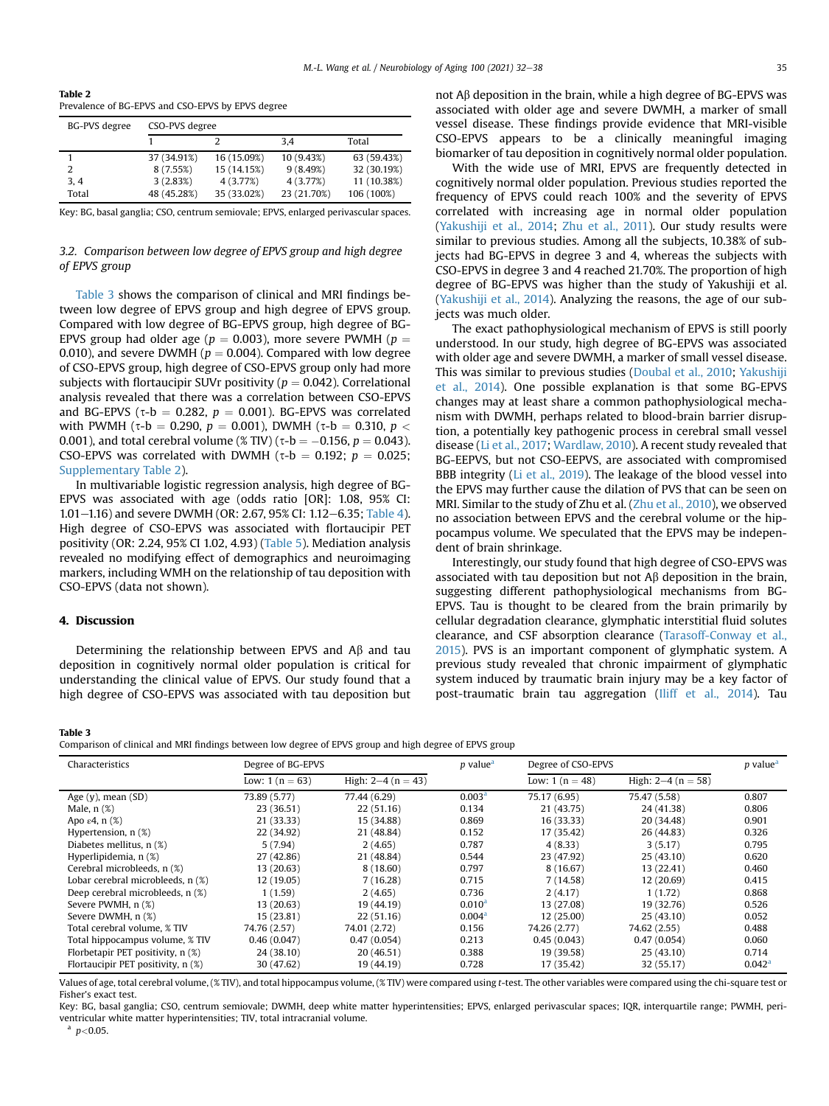<span id="page-3-0"></span>Table 2 Prevalence of BG-EPVS and CSO-EPVS by EPVS degree

| <b>BG-PVS</b> degree | CSO-PVS degree |             |             |             |
|----------------------|----------------|-------------|-------------|-------------|
|                      |                |             | 3.4         | Total       |
|                      | 37 (34.91%)    | 16 (15.09%) | 10 (9.43%)  | 63 (59.43%) |
| 2                    | 8 (7.55%)      | 15 (14.15%) | 9(8.49%)    | 32 (30.19%) |
| 3.4                  | 3(2.83%)       | 4 (3.77%)   | 4 (3.77%)   | 11 (10.38%) |
| Total                | 48 (45.28%)    | 35 (33.02%) | 23 (21.70%) | 106 (100%)  |

Key: BG, basal ganglia; CSO, centrum semiovale; EPVS, enlarged perivascular spaces.

# 3.2. Comparison between low degree of EPVS group and high degree of EPVS group

[Table 3](#page-3-1) shows the comparison of clinical and MRI findings between low degree of EPVS group and high degree of EPVS group. Compared with low degree of BG-EPVS group, high degree of BG-EPVS group had older age ( $p = 0.003$ ), more severe PWMH ( $p =$ 0.010), and severe DWMH ( $p = 0.004$ ). Compared with low degree of CSO-EPVS group, high degree of CSO-EPVS group only had more subjects with flortaucipir SUVr positivity ( $p = 0.042$ ). Correlational analysis revealed that there was a correlation between CSO-EPVS and BG-EPVS ( $\tau$ -b = 0.282,  $p = 0.001$ ). BG-EPVS was correlated with PWMH ( $\tau$ -b = 0.290, p = 0.001), DWMH ( $\tau$ -b = 0.310, p < 0.001), and total cerebral volume (% TIV) ( $\tau$ -b = -0.156, p = 0.043). CSO-EPVS was correlated with DWMH ( $\tau$ -b = 0.192; p = 0.025; Supplementary Table 2).

In multivariable logistic regression analysis, high degree of BG-EPVS was associated with age (odds ratio [OR]: 1.08, 95% CI: 1.01-1.16) and severe DWMH (OR: 2.67, 95% CI: 1.12-6.35; [Table 4](#page-4-0)). High degree of CSO-EPVS was associated with flortaucipir PET positivity (OR: 2.24, 95% CI 1.02, 4.93) ([Table 5](#page-4-1)). Mediation analysis revealed no modifying effect of demographics and neuroimaging markers, including WMH on the relationship of tau deposition with CSO-EPVS (data not shown).

# 4. Discussion

Determining the relationship between EPVS and  $A\beta$  and tau deposition in cognitively normal older population is critical for understanding the clinical value of EPVS. Our study found that a high degree of CSO-EPVS was associated with tau deposition but

not  $A\beta$  deposition in the brain, while a high degree of BG-EPVS was associated with older age and severe DWMH, a marker of small vessel disease. These findings provide evidence that MRI-visible CSO-EPVS appears to be a clinically meaningful imaging biomarker of tau deposition in cognitively normal older population.

With the wide use of MRI, EPVS are frequently detected in cognitively normal older population. Previous studies reported the frequency of EPVS could reach 100% and the severity of EPVS correlated with increasing age in normal older population [\(Yakushiji et al., 2014](#page-6-9); [Zhu et al., 2011\)](#page-6-11). Our study results were similar to previous studies. Among all the subjects, 10.38% of subjects had BG-EPVS in degree 3 and 4, whereas the subjects with CSO-EPVS in degree 3 and 4 reached 21.70%. The proportion of high degree of BG-EPVS was higher than the study of Yakushiji et al. [\(Yakushiji et al., 2014\)](#page-6-9). Analyzing the reasons, the age of our subjects was much older.

The exact pathophysiological mechanism of EPVS is still poorly understood. In our study, high degree of BG-EPVS was associated with older age and severe DWMH, a marker of small vessel disease. This was similar to previous studies [\(Doubal et al., 2010;](#page-5-10) [Yakushiji](#page-6-9) [et al., 2014](#page-6-9)). One possible explanation is that some BG-EPVS changes may at least share a common pathophysiological mechanism with DWMH, perhaps related to blood-brain barrier disruption, a potentially key pathogenic process in cerebral small vessel disease [\(Li et al., 2017;](#page-5-18) [Wardlaw, 2010](#page-6-12)). A recent study revealed that BG-EEPVS, but not CSO-EEPVS, are associated with compromised BBB integrity ([Li et al., 2019\)](#page-5-19). The leakage of the blood vessel into the EPVS may further cause the dilation of PVS that can be seen on MRI. Similar to the study of Zhu et al. ([Zhu et al., 2010\)](#page-6-13), we observed no association between EPVS and the cerebral volume or the hippocampus volume. We speculated that the EPVS may be independent of brain shrinkage.

Interestingly, our study found that high degree of CSO-EPVS was associated with tau deposition but not  $\mathsf{A}\beta$  deposition in the brain, suggesting different pathophysiological mechanisms from BG-EPVS. Tau is thought to be cleared from the brain primarily by cellular degradation clearance, glymphatic interstitial fluid solutes clearance, and CSF absorption clearance ([Tarasoff-Conway et al.,](#page-6-14) [2015](#page-6-14)). PVS is an important component of glymphatic system. A previous study revealed that chronic impairment of glymphatic system induced by traumatic brain injury may be a key factor of post-traumatic brain tau aggregation [\(Iliff et al., 2014](#page-5-20)). Tau

#### <span id="page-3-1"></span>Table 3

Comparison of clinical and MRI findings between low degree of EPVS group and high degree of EPVS group

| Characteristics                    | Degree of BG-EPVS |                     | <i>p</i> value <sup>a</sup> | Degree of CSO-EPVS |                      | <i>p</i> value <sup>a</sup> |
|------------------------------------|-------------------|---------------------|-----------------------------|--------------------|----------------------|-----------------------------|
|                                    | Low: $1(n = 63)$  | High: $2-4(n = 43)$ |                             | Low: $1(n = 48)$   | High: $2-4$ (n = 58) |                             |
| Age $(y)$ , mean $(SD)$            | 73.89 (5.77)      | 77.44 (6.29)        | 0.003 <sup>a</sup>          | 75.17 (6.95)       | 75.47 (5.58)         | 0.807                       |
| Male, $n$ $(\%)$                   | 23 (36.51)        | 22(51.16)           | 0.134                       | 21 (43.75)         | 24 (41.38)           | 0.806                       |
| Apo $\varepsilon$ 4, n $(\%)$      | 21 (33.33)        | 15 (34.88)          | 0.869                       | 16 (33.33)         | 20 (34.48)           | 0.901                       |
| Hypertension, n (%)                | 22 (34.92)        | 21 (48.84)          | 0.152                       | 17 (35.42)         | 26 (44.83)           | 0.326                       |
| Diabetes mellitus, n (%)           | 5(7.94)           | 2(4.65)             | 0.787                       | 4(8.33)            | 3(5.17)              | 0.795                       |
| Hyperlipidemia, n (%)              | 27 (42.86)        | 21 (48.84)          | 0.544                       | 23 (47.92)         | 25(43.10)            | 0.620                       |
| Cerebral microbleeds, n (%)        | 13(20.63)         | 8(18.60)            | 0.797                       | 8 (16.67)          | 13 (22.41)           | 0.460                       |
| Lobar cerebral microbleeds, n (%)  | 12 (19.05)        | 7(16.28)            | 0.715                       | 7(14.58)           | 12(20.69)            | 0.415                       |
| Deep cerebral microbleeds, n (%)   | 1(1.59)           | 2(4.65)             | 0.736                       | 2(4.17)            | 1(1.72)              | 0.868                       |
| Severe PWMH, n (%)                 | 13(20.63)         | 19 (44.19)          | 0.010 <sup>a</sup>          | 13 (27.08)         | 19 (32.76)           | 0.526                       |
| Severe DWMH, n (%)                 | 15 (23.81)        | 22 (51.16)          | 0.004 <sup>a</sup>          | 12(25.00)          | 25(43.10)            | 0.052                       |
| Total cerebral volume. % TIV       | 74.76 (2.57)      | 74.01 (2.72)        | 0.156                       | 74.26 (2.77)       | 74.62 (2.55)         | 0.488                       |
| Total hippocampus volume, % TIV    | 0.46(0.047)       | 0.47(0.054)         | 0.213                       | 0.45(0.043)        | 0.47(0.054)          | 0.060                       |
| Florbetapir PET positivity, n (%)  | 24 (38.10)        | 20(46.51)           | 0.388                       | 19 (39.58)         | 25(43.10)            | 0.714                       |
| Flortaucipir PET positivity, n (%) | 30 (47.62)        | 19 (44.19)          | 0.728                       | 17 (35.42)         | 32 (55.17)           | $0.042^{\rm a}$             |

Values of age, total cerebral volume, (% TIV), and total hippocampus volume, (% TIV) were compared using t-test. The other variables were compared using the chi-square test or Fisher's exact test.

Key: BG, basal ganglia; CSO, centrum semiovale; DWMH, deep white matter hyperintensities; EPVS, enlarged perivascular spaces; IQR, interquartile range; PWMH, periventricular white matter hyperintensities; TIV, total intracranial volume.

 $p$   $<$  0.05.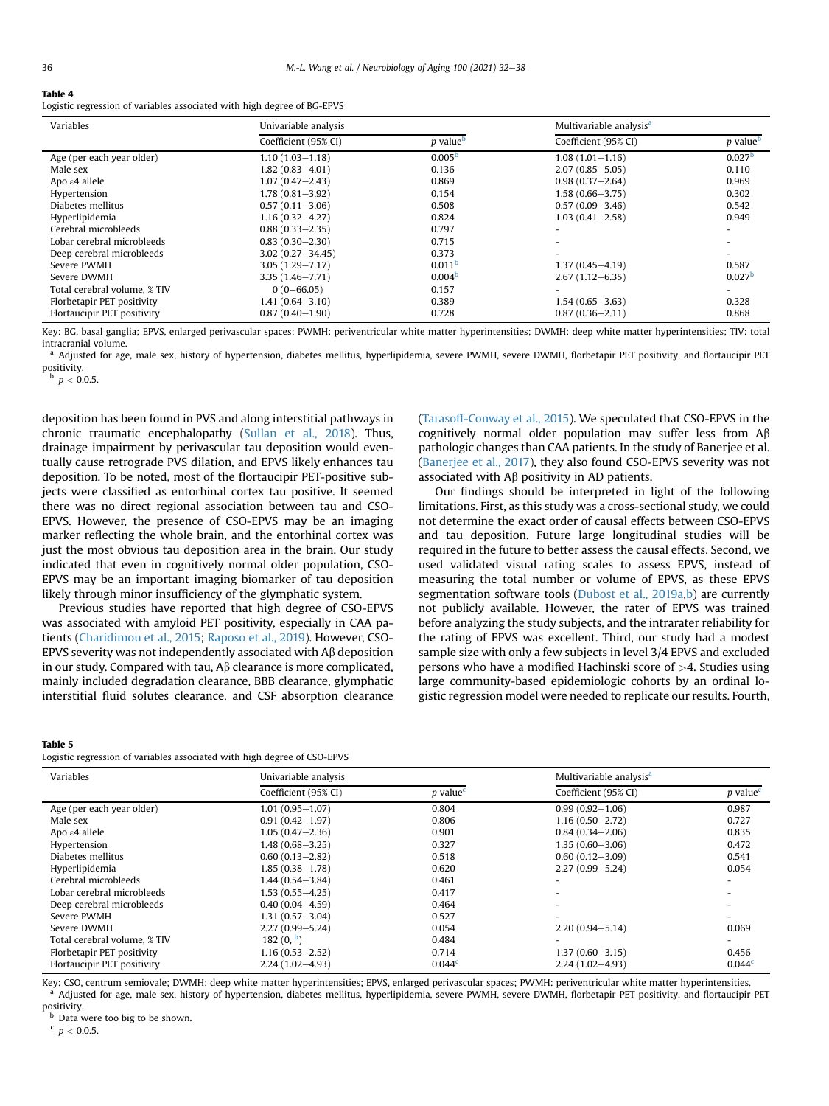#### <span id="page-4-0"></span>Table 4

Logistic regression of variables associated with high degree of BG-EPVS

| Variables                    | Univariable analysis |                             | Multivariable analysis <sup>a</sup> |                             |
|------------------------------|----------------------|-----------------------------|-------------------------------------|-----------------------------|
|                              | Coefficient (95% CI) | <i>p</i> value <sup>b</sup> | Coefficient (95% CI)                | <i>p</i> value <sup>b</sup> |
| Age (per each year older)    | $1.10(1.03 - 1.18)$  | 0.005 <sup>b</sup>          | $1.08(1.01 - 1.16)$                 | 0.027 <sup>b</sup>          |
| Male sex                     | $1.82(0.83 - 4.01)$  | 0.136                       | $2.07(0.85 - 5.05)$                 | 0.110                       |
| Apo $\varepsilon$ 4 allele   | $1.07(0.47 - 2.43)$  | 0.869                       | $0.98(0.37 - 2.64)$                 | 0.969                       |
| Hypertension                 | $1.78(0.81 - 3.92)$  | 0.154                       | $1.58(0.66 - 3.75)$                 | 0.302                       |
| Diabetes mellitus            | $0.57(0.11 - 3.06)$  | 0.508                       | $0.57(0.09 - 3.46)$                 | 0.542                       |
| Hyperlipidemia               | $1.16(0.32 - 4.27)$  | 0.824                       | $1.03(0.41 - 2.58)$                 | 0.949                       |
| Cerebral microbleeds         | $0.88(0.33 - 2.35)$  | 0.797                       |                                     | $\overline{\phantom{0}}$    |
| Lobar cerebral microbleeds   | $0.83(0.30 - 2.30)$  | 0.715                       |                                     |                             |
| Deep cerebral microbleeds    | $3.02(0.27 - 34.45)$ | 0.373                       |                                     |                             |
| Severe PWMH                  | $3.05(1.29 - 7.17)$  | 0.011 <sup>b</sup>          | $1.37(0.45 - 4.19)$                 | 0.587                       |
| Severe DWMH                  | $3.35(1.46 - 7.71)$  | 0.004 <sup>b</sup>          | $2.67(1.12 - 6.35)$                 | 0.027 <sup>b</sup>          |
| Total cerebral volume, % TIV | $0(0 - 66.05)$       | 0.157                       |                                     |                             |
| Florbetapir PET positivity   | $1.41(0.64 - 3.10)$  | 0.389                       | $1.54(0.65 - 3.63)$                 | 0.328                       |
| Flortaucipir PET positivity  | $0.87(0.40 - 1.90)$  | 0.728                       | $0.87(0.36 - 2.11)$                 | 0.868                       |

Key: BG, basal ganglia; EPVS, enlarged perivascular spaces; PWMH: periventricular white matter hyperintensities; DWMH: deep white matter hyperintensities; TIV: total intracranial volume.

<sup>a</sup> Adjusted for age, male sex, history of hypertension, diabetes mellitus, hyperlipidemia, severe PWMH, severe DWMH, florbetapir PET positivity, and flortaucipir PET positivity.

 $\rm{^b}$  p  $< 0.0.5$ .

deposition has been found in PVS and along interstitial pathways in chronic traumatic encephalopathy [\(Sullan et al., 2018](#page-6-5)). Thus, drainage impairment by perivascular tau deposition would eventually cause retrograde PVS dilation, and EPVS likely enhances tau deposition. To be noted, most of the flortaucipir PET-positive subjects were classified as entorhinal cortex tau positive. It seemed there was no direct regional association between tau and CSO-EPVS. However, the presence of CSO-EPVS may be an imaging marker reflecting the whole brain, and the entorhinal cortex was just the most obvious tau deposition area in the brain. Our study indicated that even in cognitively normal older population, CSO-EPVS may be an important imaging biomarker of tau deposition likely through minor insufficiency of the glymphatic system.

Previous studies have reported that high degree of CSO-EPVS was associated with amyloid PET positivity, especially in CAA patients ([Charidimou et al., 2015;](#page-5-3) [Raposo et al., 2019\)](#page-6-15). However, CSO-EPVS severity was not independently associated with  $\mathsf{A}\beta$  deposition in our study. Compared with tau,  $\mathsf{AB}$  clearance is more complicated, mainly included degradation clearance, BBB clearance, glymphatic interstitial fluid solutes clearance, and CSF absorption clearance

# <span id="page-4-1"></span>Table 5

| таріе э<br>Logistic regression of variables associated with high degree of CSO-EPVS |                      |                        |                                     |                                     |  |  |
|-------------------------------------------------------------------------------------|----------------------|------------------------|-------------------------------------|-------------------------------------|--|--|
| Variables                                                                           | Univariable analysis |                        | Multivariable analysis <sup>a</sup> |                                     |  |  |
|                                                                                     | Coefficient (95% CI) | $p$ value <sup>c</sup> | Coefficient (95% CI)                | $p$ value <sup><math>c</math></sup> |  |  |
| Age (per each year older)                                                           | $1.01(0.95 - 1.07)$  | 0.804                  | $0.99(0.92 - 1.06)$                 | 0.987                               |  |  |
| Male sex                                                                            | $0.91(0.42 - 1.97)$  | 0.806                  | $1.16(0.50 - 2.72)$                 | 0.727                               |  |  |
| Apo $\varepsilon$ 4 allele                                                          | $1.05(0.47 - 2.36)$  | 0.901                  | $0.84(0.34 - 2.06)$                 | 0.835                               |  |  |
| Hypertension                                                                        | $1.48(0.68 - 3.25)$  | 0.327                  | $1.35(0.60 - 3.06)$                 | 0.472                               |  |  |
| Diabetes mellitus                                                                   | $0.60(0.13 - 2.82)$  | 0.518                  | $0.60(0.12 - 3.09)$                 | 0.541                               |  |  |
| Hyperlipidemia                                                                      | $1.85(0.38 - 1.78)$  | 0.620                  | $2.27(0.99 - 5.24)$                 | 0.054                               |  |  |
| Cerebral microbleeds                                                                | 1.44 (0.54–3.84)     | 0.461                  |                                     |                                     |  |  |
| Lobar cerebral microbleeds                                                          | $1.53(0.55 - 4.25)$  | 0.417                  |                                     |                                     |  |  |
| Deep cerebral microbleeds                                                           | $0.40(0.04 - 4.59)$  | 0.464                  |                                     |                                     |  |  |
| Severe PWMH                                                                         | $1.31(0.57 - 3.04)$  | 0.527                  |                                     |                                     |  |  |
| Severe DWMH                                                                         | $2.27(0.99 - 5.24)$  | 0.054                  | $2,20(0.94 - 5.14)$                 | 0.069                               |  |  |
| Total cerebral volume, % TIV                                                        | 182 $(0, b)$         | 0.484                  |                                     |                                     |  |  |
| Florbetapir PET positivity                                                          | $1.16(0.53 - 2.52)$  | 0.714                  | $1.37(0.60 - 3.15)$                 | 0.456                               |  |  |
| Flortaucipir PET positivity                                                         | $2.24(1.02 - 4.93)$  | 0.044 <sup>c</sup>     | $2.24(1.02 - 4.93)$                 | 0.044 <sup>c</sup>                  |  |  |

Key: CSO, centrum semiovale; DWMH: deep white matter hyperintensities; EPVS, enlarged perivascular spaces; PWMH: periventricular white matter hyperintensities. Adjusted for age, male sex, history of hypertension, diabetes mellitus, hyperlipidemia, severe PWMH, severe DWMH, florbetapir PET positivity, and flortaucipir PET positivity.

**b** Data were too big to be shown.

 $\rm ^{c}$   $\it p$   $<$  0.0.5.

([Tarasoff-Conway et al., 2015\)](#page-6-14). We speculated that CSO-EPVS in the cognitively normal older population may suffer less from  $\mathsf{A}\beta$ pathologic changes than CAA patients. In the study of Banerjee et al. ([Banerjee et al., 2017](#page-5-21)), they also found CSO-EPVS severity was not associated with  $A\beta$  positivity in AD patients.

Our findings should be interpreted in light of the following limitations. First, as this study was a cross-sectional study, we could not determine the exact order of causal effects between CSO-EPVS and tau deposition. Future large longitudinal studies will be required in the future to better assess the causal effects. Second, we used validated visual rating scales to assess EPVS, instead of measuring the total number or volume of EPVS, as these EPVS segmentation software tools [\(Dubost et al., 2019a,](#page-5-22)[b](#page-5-23)) are currently not publicly available. However, the rater of EPVS was trained before analyzing the study subjects, and the intrarater reliability for the rating of EPVS was excellent. Third, our study had a modest sample size with only a few subjects in level 3/4 EPVS and excluded persons who have a modified Hachinski score of >4. Studies using large community-based epidemiologic cohorts by an ordinal logistic regression model were needed to replicate our results. Fourth,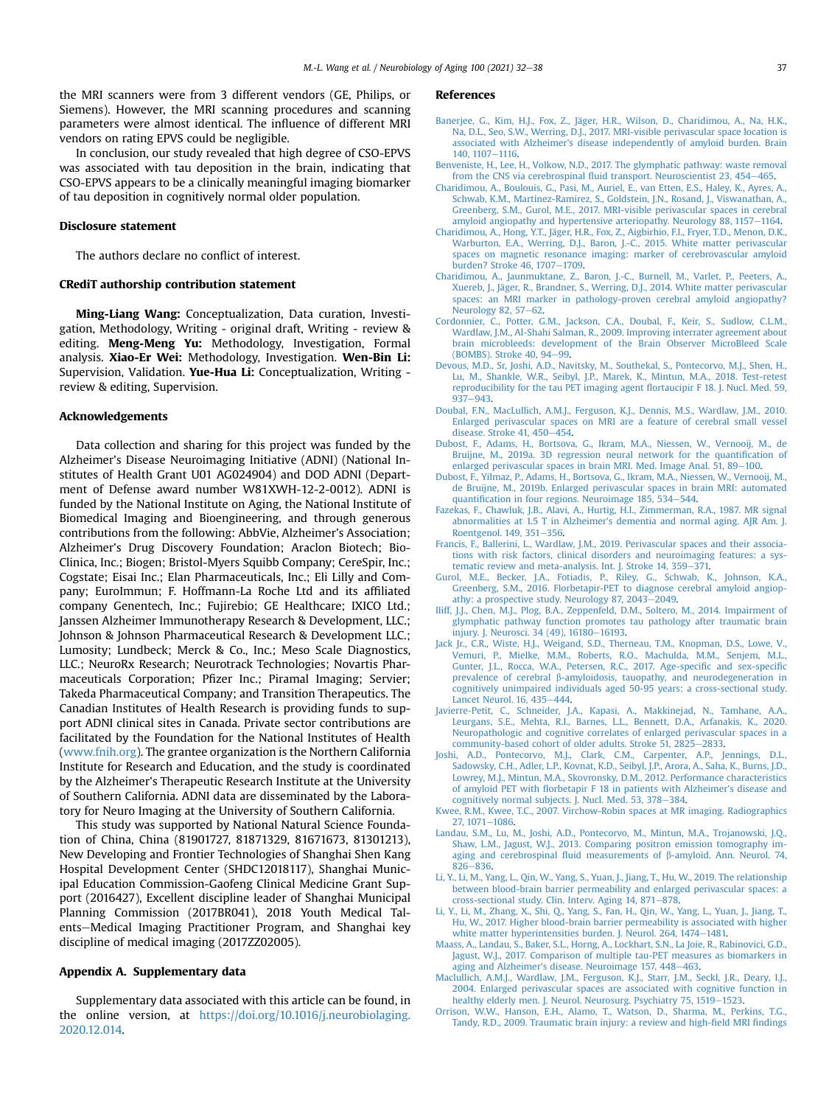the MRI scanners were from 3 different vendors (GE, Philips, or Siemens). However, the MRI scanning procedures and scanning parameters were almost identical. The influence of different MRI vendors on rating EPVS could be negligible.

In conclusion, our study revealed that high degree of CSO-EPVS was associated with tau deposition in the brain, indicating that CSO-EPVS appears to be a clinically meaningful imaging biomarker of tau deposition in cognitively normal older population.

#### Disclosure statement

The authors declare no conflict of interest.

# CRediT authorship contribution statement

Ming-Liang Wang: Conceptualization, Data curation, Investigation, Methodology, Writing - original draft, Writing - review & editing. Meng-Meng Yu: Methodology, Investigation, Formal analysis. Xiao-Er Wei: Methodology, Investigation. Wen-Bin Li: Supervision, Validation. Yue-Hua Li: Conceptualization, Writing review & editing, Supervision.

# Acknowledgements

Data collection and sharing for this project was funded by the Alzheimer's Disease Neuroimaging Initiative (ADNI) (National Institutes of Health Grant U01 AG024904) and DOD ADNI (Department of Defense award number W81XWH-12-2-0012). ADNI is funded by the National Institute on Aging, the National Institute of Biomedical Imaging and Bioengineering, and through generous contributions from the following: AbbVie, Alzheimer's Association; Alzheimer's Drug Discovery Foundation; Araclon Biotech; Bio-Clinica, Inc.; Biogen; Bristol-Myers Squibb Company; CereSpir, Inc.; Cogstate; Eisai Inc.; Elan Pharmaceuticals, Inc.; Eli Lilly and Company; EuroImmun; F. Hoffmann-La Roche Ltd and its affiliated company Genentech, Inc.; Fujirebio; GE Healthcare; IXICO Ltd.; Janssen Alzheimer Immunotherapy Research & Development, LLC.; Johnson & Johnson Pharmaceutical Research & Development LLC.; Lumosity; Lundbeck; Merck & Co., Inc.; Meso Scale Diagnostics, LLC.; NeuroRx Research; Neurotrack Technologies; Novartis Pharmaceuticals Corporation; Pfizer Inc.; Piramal Imaging; Servier; Takeda Pharmaceutical Company; and Transition Therapeutics. The Canadian Institutes of Health Research is providing funds to support ADNI clinical sites in Canada. Private sector contributions are facilitated by the Foundation for the National Institutes of Health ([www.fnih.org\)](http://www.fnih.org). The grantee organization is the Northern California Institute for Research and Education, and the study is coordinated by the Alzheimer's Therapeutic Research Institute at the University of Southern California. ADNI data are disseminated by the Laboratory for Neuro Imaging at the University of Southern California.

This study was supported by National Natural Science Foundation of China, China (81901727, 81871329, 81671673, 81301213), New Developing and Frontier Technologies of Shanghai Shen Kang Hospital Development Center (SHDC12018117), Shanghai Municipal Education Commission-Gaofeng Clinical Medicine Grant Support (2016427), Excellent discipline leader of Shanghai Municipal Planning Commission (2017BR041), 2018 Youth Medical Talents-Medical Imaging Practitioner Program, and Shanghai key discipline of medical imaging (2017ZZ02005).

### Appendix A. Supplementary data

Supplementary data associated with this article can be found, in the online version, at [https://doi.org/10.1016/j.neurobiolaging.](https://doi.org/10.1016/j.neurobiolaging.2020.12.014) [2020.12.014](https://doi.org/10.1016/j.neurobiolaging.2020.12.014).

#### References

- <span id="page-5-21"></span>[Banerjee, G., Kim, H.J., Fox, Z., Jäger, H.R., Wilson, D., Charidimou, A., Na, H.K.,](http://refhub.elsevier.com/S0197-4580(20)30425-5/sref1) [Na, D.L., Seo, S.W., Werring, D.J., 2017. MRI-visible perivascular space location is](http://refhub.elsevier.com/S0197-4580(20)30425-5/sref1) [associated with Alzheimer's disease independently of amyloid burden. Brain](http://refhub.elsevier.com/S0197-4580(20)30425-5/sref1) [140, 1107](http://refhub.elsevier.com/S0197-4580(20)30425-5/sref1)-[1116](http://refhub.elsevier.com/S0197-4580(20)30425-5/sref1).
- <span id="page-5-7"></span>[Benveniste, H., Lee, H., Volkow, N.D., 2017. The glymphatic pathway: waste removal](http://refhub.elsevier.com/S0197-4580(20)30425-5/sref2) from the CNS via cerebrospinal fl[uid transport. Neuroscientist 23, 454](http://refhub.elsevier.com/S0197-4580(20)30425-5/sref2)-[465](http://refhub.elsevier.com/S0197-4580(20)30425-5/sref2).
- <span id="page-5-4"></span>[Charidimou, A., Boulouis, G., Pasi, M., Auriel, E., van Etten, E.S., Haley, K., Ayres, A.,](http://refhub.elsevier.com/S0197-4580(20)30425-5/sref3) [Schwab, K.M., Martinez-Ramirez, S., Goldstein, J.N., Rosand, J., Viswanathan, A.,](http://refhub.elsevier.com/S0197-4580(20)30425-5/sref3) [Greenberg, S.M., Gurol, M.E., 2017. MRI-visible perivascular spaces in cerebral](http://refhub.elsevier.com/S0197-4580(20)30425-5/sref3) [amyloid angiopathy and hypertensive arteriopathy. Neurology 88, 1157](http://refhub.elsevier.com/S0197-4580(20)30425-5/sref3)-[1164](http://refhub.elsevier.com/S0197-4580(20)30425-5/sref3).
- <span id="page-5-3"></span>[Charidimou, A., Hong, Y.T., Jäger, H.R., Fox, Z., Aigbirhio, F.I., Fryer, T.D., Menon, D.K.,](http://refhub.elsevier.com/S0197-4580(20)30425-5/sref4) [Warburton, E.A., Werring, D.J., Baron, J.-C., 2015. White matter perivascular](http://refhub.elsevier.com/S0197-4580(20)30425-5/sref4) [spaces on magnetic resonance imaging: marker of cerebrovascular amyloid](http://refhub.elsevier.com/S0197-4580(20)30425-5/sref4) [burden? Stroke 46, 1707](http://refhub.elsevier.com/S0197-4580(20)30425-5/sref4)-[1709.](http://refhub.elsevier.com/S0197-4580(20)30425-5/sref4)
- <span id="page-5-2"></span>[Charidimou, A., Jaunmuktane, Z., Baron, J.-C., Burnell, M., Varlet, P., Peeters, A.,](http://refhub.elsevier.com/S0197-4580(20)30425-5/sref5) [Xuereb, J., Jäger, R., Brandner, S., Werring, D.J., 2014. White matter perivascular](http://refhub.elsevier.com/S0197-4580(20)30425-5/sref5) [spaces: an MRI marker in pathology-proven cerebral amyloid angiopathy?](http://refhub.elsevier.com/S0197-4580(20)30425-5/sref5) [Neurology 82, 57](http://refhub.elsevier.com/S0197-4580(20)30425-5/sref5)-[62.](http://refhub.elsevier.com/S0197-4580(20)30425-5/sref5)
- <span id="page-5-13"></span>[Cordonnier, C., Potter, G.M., Jackson, C.A., Doubal, F., Keir, S., Sudlow, C.L.M.,](http://refhub.elsevier.com/S0197-4580(20)30425-5/sref6) [Wardlaw, J.M., Al-Shahi Salman, R., 2009. Improving interrater agreement about](http://refhub.elsevier.com/S0197-4580(20)30425-5/sref6) [brain microbleeds: development of the Brain Observer MicroBleed Scale](http://refhub.elsevier.com/S0197-4580(20)30425-5/sref6) (BOMBS). Stroke  $40.94 - 99$ .
- <span id="page-5-9"></span>[Devous, M.D., Sr, Joshi, A.D., Navitsky, M., Southekal, S., Pontecorvo, M.J., Shen, H.,](http://refhub.elsevier.com/S0197-4580(20)30425-5/sref7) [Lu, M., Shankle, W.R., Seibyl, J.P., Marek, K., Mintun, M.A., 2018. Test-retest](http://refhub.elsevier.com/S0197-4580(20)30425-5/sref7) [reproducibility for the tau PET imaging agent](http://refhub.elsevier.com/S0197-4580(20)30425-5/sref7) flortaucipir F 18. J. Nucl. Med. 59,  $937 - 943$  $937 - 943$ .
- <span id="page-5-10"></span>[Doubal, F.N., MacLullich, A.M.J., Ferguson, K.J., Dennis, M.S., Wardlaw, J.M., 2010.](http://refhub.elsevier.com/S0197-4580(20)30425-5/sref8) [Enlarged perivascular spaces on MRI are a feature of cerebral small vessel](http://refhub.elsevier.com/S0197-4580(20)30425-5/sref8) disease. Stroke  $41, 450-454$  $41, 450-454$ .
- <span id="page-5-22"></span>[Dubost, F., Adams, H., Bortsova, G., Ikram, M.A., Niessen, W., Vernooij, M., de](http://refhub.elsevier.com/S0197-4580(20)30425-5/sref9) [Bruijne, M., 2019a. 3D regression neural network for the quanti](http://refhub.elsevier.com/S0197-4580(20)30425-5/sref9)fication of [enlarged perivascular spaces in brain MRI. Med. Image Anal. 51, 89](http://refhub.elsevier.com/S0197-4580(20)30425-5/sref9)-[100.](http://refhub.elsevier.com/S0197-4580(20)30425-5/sref9)
- <span id="page-5-23"></span>[Dubost, F., Yilmaz, P., Adams, H., Bortsova, G., Ikram, M.A., Niessen, W., Vernooij, M.,](http://refhub.elsevier.com/S0197-4580(20)30425-5/sref10) [de Bruijne, M., 2019b. Enlarged perivascular spaces in brain MRI: automated](http://refhub.elsevier.com/S0197-4580(20)30425-5/sref10) quantifi[cation in four regions. Neuroimage 185, 534](http://refhub.elsevier.com/S0197-4580(20)30425-5/sref10)-[544.](http://refhub.elsevier.com/S0197-4580(20)30425-5/sref10)
- <span id="page-5-12"></span>[Fazekas, F., Chawluk, J.B., Alavi, A., Hurtig, H.I., Zimmerman, R.A., 1987. MR signal](http://refhub.elsevier.com/S0197-4580(20)30425-5/sref11) [abnormalities at 1.5 T in Alzheimer's dementia and normal aging. AJR Am. J.](http://refhub.elsevier.com/S0197-4580(20)30425-5/sref11) [Roentgenol. 149, 351](http://refhub.elsevier.com/S0197-4580(20)30425-5/sref11)-[356](http://refhub.elsevier.com/S0197-4580(20)30425-5/sref11).
- <span id="page-5-1"></span>[Francis, F., Ballerini, L., Wardlaw, J.M., 2019. Perivascular spaces and their associa](http://refhub.elsevier.com/S0197-4580(20)30425-5/sref12)[tions with risk factors, clinical disorders and neuroimaging features: a sys](http://refhub.elsevier.com/S0197-4580(20)30425-5/sref12)[tematic review and meta-analysis. Int. J. Stroke 14, 359](http://refhub.elsevier.com/S0197-4580(20)30425-5/sref12)-[371.](http://refhub.elsevier.com/S0197-4580(20)30425-5/sref12)
- <span id="page-5-8"></span>[Gurol, M.E., Becker, J.A., Fotiadis, P., Riley, G., Schwab, K., Johnson, K.A.,](http://refhub.elsevier.com/S0197-4580(20)30425-5/sref13) [Greenberg, S.M., 2016. Florbetapir-PET to diagnose cerebral amyloid angiop](http://refhub.elsevier.com/S0197-4580(20)30425-5/sref13)[athy: a prospective study. Neurology 87, 2043](http://refhub.elsevier.com/S0197-4580(20)30425-5/sref13)-[2049.](http://refhub.elsevier.com/S0197-4580(20)30425-5/sref13)
- <span id="page-5-20"></span>[Iliff, J.J., Chen, M.J., Plog, B.A., Zeppenfeld, D.M., Soltero, M., 2014. Impairment of](http://refhub.elsevier.com/S0197-4580(20)30425-5/sref14) [glymphatic pathway function promotes tau pathology after traumatic brain](http://refhub.elsevier.com/S0197-4580(20)30425-5/sref14) [injury. J. Neurosci. 34 \(49\), 16180](http://refhub.elsevier.com/S0197-4580(20)30425-5/sref14)-[16193.](http://refhub.elsevier.com/S0197-4580(20)30425-5/sref14)
- <span id="page-5-16"></span>[Jack Jr., C.R., Wiste, H.J., Weigand, S.D., Therneau, T.M., Knopman, D.S., Lowe, V.,](http://refhub.elsevier.com/S0197-4580(20)30425-5/sref15) [Vemuri, P., Mielke, M.M., Roberts, R.O., Machulda, M.M., Senjem, M.L.,](http://refhub.elsevier.com/S0197-4580(20)30425-5/sref15) [Gunter, J.L., Rocca, W.A., Petersen, R.C., 2017. Age-speci](http://refhub.elsevier.com/S0197-4580(20)30425-5/sref15)fic and sex-specific prevalence of cerebral  $\beta$ [-amyloidosis, tauopathy, and neurodegeneration in](http://refhub.elsevier.com/S0197-4580(20)30425-5/sref15) [cognitively unimpaired individuals aged 50-95 years: a cross-sectional study.](http://refhub.elsevier.com/S0197-4580(20)30425-5/sref15) [Lancet Neurol. 16, 435](http://refhub.elsevier.com/S0197-4580(20)30425-5/sref15)-[444](http://refhub.elsevier.com/S0197-4580(20)30425-5/sref15).
- <span id="page-5-5"></span>Javierre-Petit, C., Schneider, J.A., Kapasi, A., Makkinejad, N., Tamhane, [Leurgans, S.E., Mehta, R.I., Barnes, L.L., Bennett, D.A., Arfanakis, K., 2020.](http://refhub.elsevier.com/S0197-4580(20)30425-5/sref16) [Neuropathologic and cognitive correlates of enlarged perivascular spaces in a](http://refhub.elsevier.com/S0197-4580(20)30425-5/sref16) [community-based cohort of older adults. Stroke 51, 2825](http://refhub.elsevier.com/S0197-4580(20)30425-5/sref16)-[2833](http://refhub.elsevier.com/S0197-4580(20)30425-5/sref16).
- <span id="page-5-15"></span>[Joshi, A.D., Pontecorvo, M.J., Clark, C.M., Carpenter, A.P., Jennings, D.L.,](http://refhub.elsevier.com/S0197-4580(20)30425-5/sref17) [Sadowsky, C.H., Adler, L.P., Kovnat, K.D., Seibyl, J.P., Arora, A., Saha, K., Burns, J.D.,](http://refhub.elsevier.com/S0197-4580(20)30425-5/sref17) [Lowrey, M.J., Mintun, M.A., Skovronsky, D.M., 2012. Performance characteristics](http://refhub.elsevier.com/S0197-4580(20)30425-5/sref17) of amyloid PET with fl[orbetapir F 18 in patients with Alzheimer's disease and](http://refhub.elsevier.com/S0197-4580(20)30425-5/sref17) [cognitively normal subjects. J. Nucl. Med. 53, 378](http://refhub.elsevier.com/S0197-4580(20)30425-5/sref17)-[384.](http://refhub.elsevier.com/S0197-4580(20)30425-5/sref17)
- <span id="page-5-0"></span>[Kwee, R.M., Kwee, T.C., 2007. Virchow-Robin spaces at MR imaging. Radiographics](http://refhub.elsevier.com/S0197-4580(20)30425-5/sref18) [27, 1071](http://refhub.elsevier.com/S0197-4580(20)30425-5/sref18)-[1086.](http://refhub.elsevier.com/S0197-4580(20)30425-5/sref18)
- <span id="page-5-14"></span>[Landau, S.M., Lu, M., Joshi, A.D., Pontecorvo, M., Mintun, M.A., Trojanowski, J.Q.,](http://refhub.elsevier.com/S0197-4580(20)30425-5/sref19) [Shaw, L.M., Jagust, W.J., 2013. Comparing positron emission tomography im](http://refhub.elsevier.com/S0197-4580(20)30425-5/sref19)aging and cerebrospinal fluid measurements of b[-amyloid. Ann. Neurol. 74,](http://refhub.elsevier.com/S0197-4580(20)30425-5/sref19)  $826 - 836.$  $826 - 836.$  $826 - 836.$
- <span id="page-5-19"></span>[Li, Y., Li, M., Yang, L., Qin, W., Yang, S., Yuan, J., Jiang, T., Hu, W., 2019. The relationship](http://refhub.elsevier.com/S0197-4580(20)30425-5/sref20) [between blood-brain barrier permeability and enlarged perivascular spaces: a](http://refhub.elsevier.com/S0197-4580(20)30425-5/sref20) [cross-sectional study. Clin. Interv. Aging 14, 871](http://refhub.elsevier.com/S0197-4580(20)30425-5/sref20)-[878.](http://refhub.elsevier.com/S0197-4580(20)30425-5/sref20)
- <span id="page-5-18"></span>[Li, Y., Li, M., Zhang, X., Shi, Q., Yang, S., Fan, H., Qin, W., Yang, L., Yuan, J., Jiang, T.,](http://refhub.elsevier.com/S0197-4580(20)30425-5/sref21) [Hu, W., 2017. Higher blood-brain barrier permeability is associated with higher](http://refhub.elsevier.com/S0197-4580(20)30425-5/sref21) [white matter hyperintensities burden. J. Neurol. 264, 1474](http://refhub.elsevier.com/S0197-4580(20)30425-5/sref21)-[1481.](http://refhub.elsevier.com/S0197-4580(20)30425-5/sref21)
- <span id="page-5-17"></span>[Maass, A., Landau, S., Baker, S.L., Horng, A., Lockhart, S.N., La Joie, R., Rabinovici, G.D.,](http://refhub.elsevier.com/S0197-4580(20)30425-5/sref22) [Jagust, W.J., 2017. Comparison of multiple tau-PET measures as biomarkers in](http://refhub.elsevier.com/S0197-4580(20)30425-5/sref22) [aging and Alzheimer's disease. Neuroimage 157, 448](http://refhub.elsevier.com/S0197-4580(20)30425-5/sref22)-[463.](http://refhub.elsevier.com/S0197-4580(20)30425-5/sref22)
- <span id="page-5-11"></span>[Maclullich, A.M.J., Wardlaw, J.M., Ferguson, K.J., Starr, J.M., Seckl, J.R., Deary, I.J.,](http://refhub.elsevier.com/S0197-4580(20)30425-5/sref23) [2004. Enlarged perivascular spaces are associated with cognitive function in](http://refhub.elsevier.com/S0197-4580(20)30425-5/sref23) [healthy elderly men. J. Neurol. Neurosurg. Psychiatry 75, 1519](http://refhub.elsevier.com/S0197-4580(20)30425-5/sref23)-[1523](http://refhub.elsevier.com/S0197-4580(20)30425-5/sref23).
- <span id="page-5-6"></span>[Orrison, W.W., Hanson, E.H., Alamo, T., Watson, D., Sharma, M., Perkins, T.G.,](http://refhub.elsevier.com/S0197-4580(20)30425-5/sref24) [Tandy, R.D., 2009. Traumatic brain injury: a review and high-](http://refhub.elsevier.com/S0197-4580(20)30425-5/sref24)field MRI findings